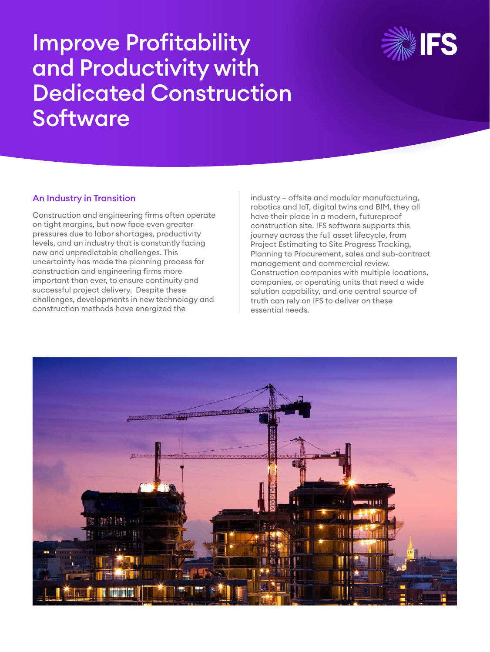

# Improve Profitability and Productivity with Dedicated Construction Software

### An Industry in Transition

Construction and engineering firms often operate on tight margins, but now face even greater pressures due to labor shortages, productivity levels, and an industry that is constantly facing new and unpredictable challenges. This uncertainty has made the planning process for construction and engineering firms more important than ever, to ensure continuity and successful project delivery. Despite these challenges, developments in new technology and construction methods have energized the

industry – offsite and modular manufacturing, robotics and IoT, digital twins and BIM, they all have their place in a modern, futureproof construction site. IFS software supports this journey across the full asset lifecycle, from Project Estimating to Site Progress Tracking, Planning to Procurement, sales and sub-contract management and commercial review. Construction companies with multiple locations, companies, or operating units that need a wide solution capability, and one central source of truth can rely on IFS to deliver on these essential needs.

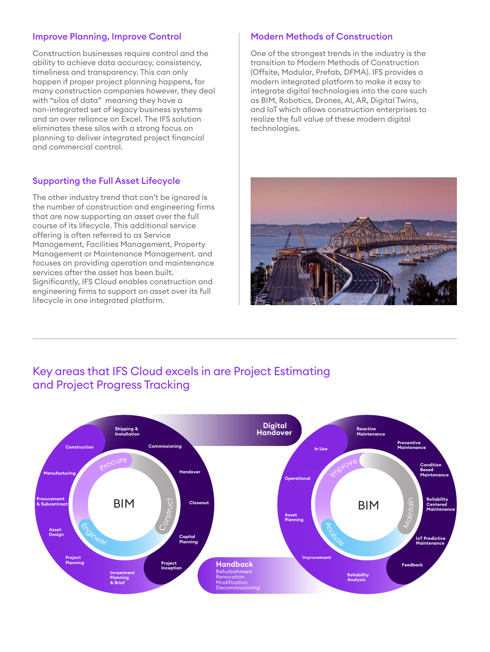### Improve Planning, Improve Control

Construction businesses require control and the ability to achieve data accuracy, consistency, timeliness and transparency. This can only happen if proper project planning happens, for many construction companies however, they deal with "silos of data" meaning they have a non-integrated set of legacy business systems and an over reliance on Excel. The IFS solution eliminates these silos with a strong focus on planning to deliver integrated project financial and commercial control.

### Supporting the Full Asset Lifecycle

The other industry trend that can't be ignored is the number of construction and engineering firms that are now supporting an asset over the full course of its lifecycle. This additional service offering is often referred to as Service Management, Facilities Management, Property Management or Maintenance Management. and focuses on providing operation and maintenance services after the asset has been built. Significantly, IFS Cloud enables construction and engineering firms to support an asset over its full lifecycle in one integrated platform.

### Modern Methods of Construction

One of the strongest trends in the industry is the transition to Modern Methods of Construction (Offsite, Modular, Prefab, DFMA). IFS provides a modern integrated platform to make it easy to integrate digital technologies into the core such as BIM, Robotics, Drones, AI, AR, Digital Twins, and IoT which allows construction enterprises to realize the full value of these modern digital technologies.



### Key areas that IFS Cloud excels in are Project Estimating and Project Progress Tracking